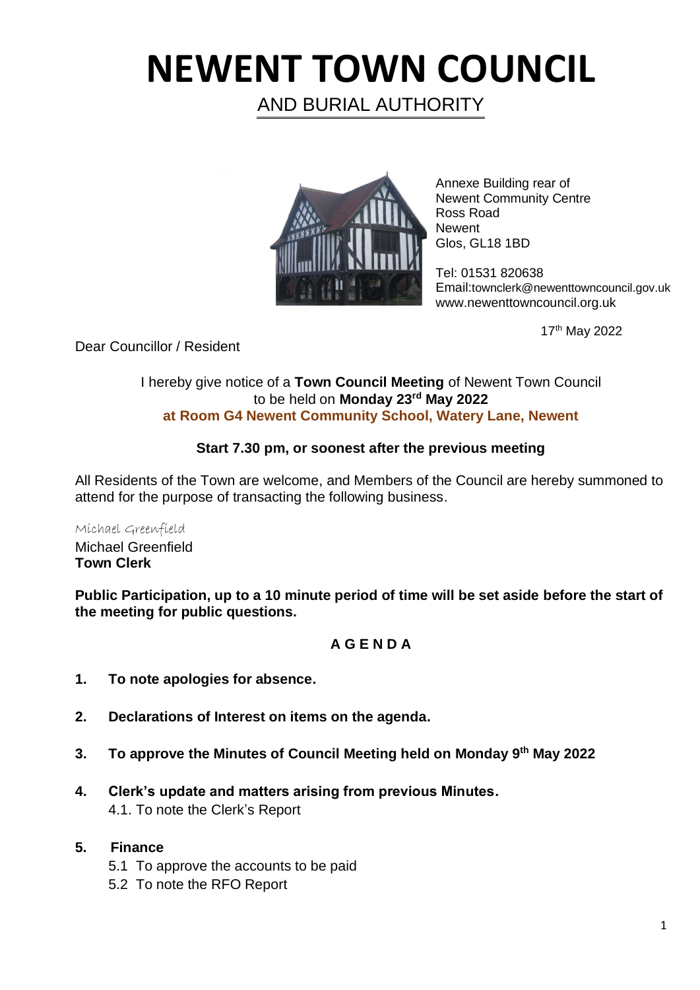# **NEWENT TOWN COUNCIL**

AND BURIAL AUTHORITY



Annexe Building rear of Newent Community Centre Ross Road **Newent** Glos, GL18 1BD

Tel: 01531 820638 Email:townclerk@newenttowncouncil.gov.uk www.newenttowncouncil.org.uk

17th May 2022

Dear Councillor / Resident

#### I hereby give notice of a **Town Council Meeting** of Newent Town Council to be held on **Monday 23rd May 2022 at Room G4 Newent Community School, Watery Lane, Newent**

## **Start 7.30 pm, or soonest after the previous meeting**

All Residents of the Town are welcome, and Members of the Council are hereby summoned to attend for the purpose of transacting the following business.

Michael Greenfield Michael Greenfield **Town Clerk**

**Public Participation, up to a 10 minute period of time will be set aside before the start of the meeting for public questions.**

## **A G E N D A**

- **1. To note apologies for absence.**
- **2. Declarations of Interest on items on the agenda.**
- **3. To approve the Minutes of Council Meeting held on Monday 9 th May 2022**
- **4. Clerk's update and matters arising from previous Minutes.** 4.1. To note the Clerk's Report

#### **5. Finance**

- 5.1 To approve the accounts to be paid
- 5.2 To note the RFO Report